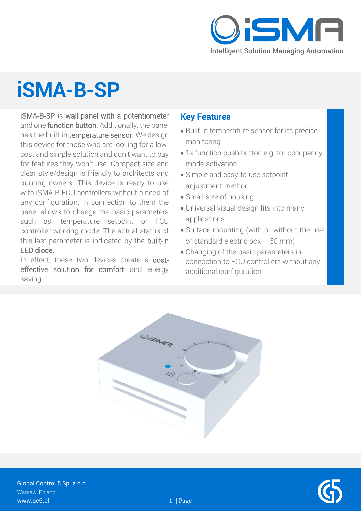

## **iSMA-B-SP**

iSMA-B-SP is wall panel with a potentiometer and one function button. Additionally, the panel has the built-in temperature sensor. We design this device for those who are looking for a lowcost and simple solution and don't want to pay for features they won't use. Compact size and clear style/design is friendly to architects and building owners. This device is ready to use with iSMA-B-FCU controllers without a need of any configuration. In connection to them the panel allows to change the basic parameters such as: temperature setpoint or FCU controller working mode. The actual status of this last parameter is indicated by the built-in LED diode.

In effect, these two devices create a costeffective solution for comfort and energy saving.

#### **Key Features**

- Built-in temperature sensor for its precise monitoring
- 1x function push button e.g. for occupancy mode activation
- Simple and easy-to-use setpoint adjustment method
- Small size of housing
- Universal visual design fits into many applications
- Surface mounting (with or without the use of standard electric box  $-60$  mm)
- Changing of the basic parameters in connection to FCU controllers without any additional configuration